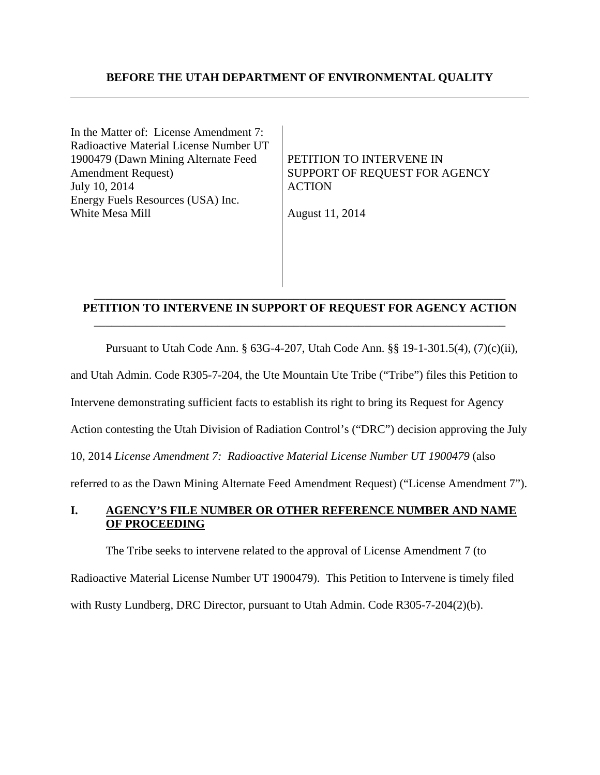### **BEFORE THE UTAH DEPARTMENT OF ENVIRONMENTAL QUALITY**

In the Matter of: License Amendment 7: Radioactive Material License Number UT 1900479 (Dawn Mining Alternate Feed Amendment Request) July 10, 2014 Energy Fuels Resources (USA) Inc. White Mesa Mill

PETITION TO INTERVENE IN SUPPORT OF REQUEST FOR AGENCY ACTION

August 11, 2014

### \_\_\_\_\_\_\_\_\_\_\_\_\_\_\_\_\_\_\_\_\_\_\_\_\_\_\_\_\_\_\_\_\_\_\_\_\_\_\_\_\_\_\_\_\_\_\_\_\_\_\_\_\_\_\_\_\_\_\_\_\_\_\_\_\_\_\_\_\_\_ **PETITION TO INTERVENE IN SUPPORT OF REQUEST FOR AGENCY ACTION** \_\_\_\_\_\_\_\_\_\_\_\_\_\_\_\_\_\_\_\_\_\_\_\_\_\_\_\_\_\_\_\_\_\_\_\_\_\_\_\_\_\_\_\_\_\_\_\_\_\_\_\_\_\_\_\_\_\_\_\_\_\_\_\_\_\_\_\_\_\_

Pursuant to Utah Code Ann. § 63G-4-207, Utah Code Ann. §§ 19-1-301.5(4), (7)(c)(ii),

and Utah Admin. Code R305-7-204, the Ute Mountain Ute Tribe ("Tribe") files this Petition to

Intervene demonstrating sufficient facts to establish its right to bring its Request for Agency

Action contesting the Utah Division of Radiation Control's ("DRC") decision approving the July

10, 2014 *License Amendment 7: Radioactive Material License Number UT 1900479* (also

referred to as the Dawn Mining Alternate Feed Amendment Request) ("License Amendment 7").

## **I. AGENCY'S FILE NUMBER OR OTHER REFERENCE NUMBER AND NAME OF PROCEEDING**

The Tribe seeks to intervene related to the approval of License Amendment 7 (to Radioactive Material License Number UT 1900479). This Petition to Intervene is timely filed with Rusty Lundberg, DRC Director, pursuant to Utah Admin. Code R305-7-204(2)(b).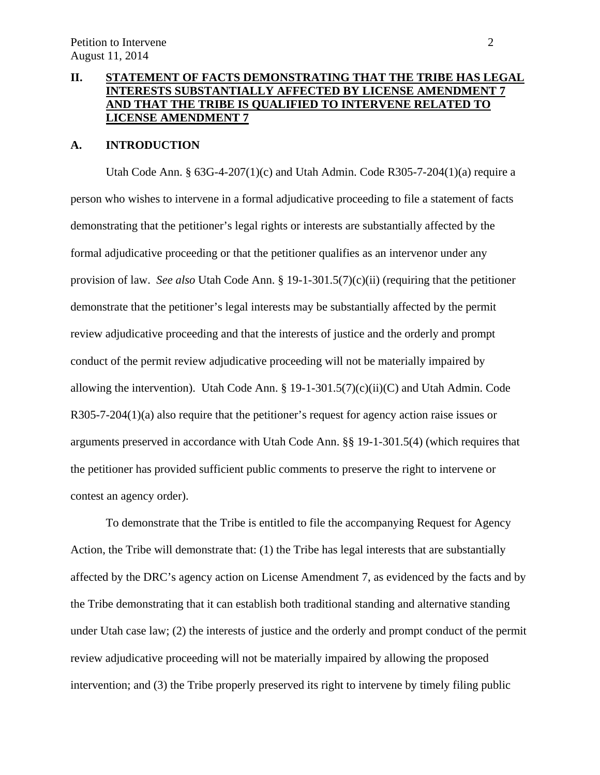# **II. STATEMENT OF FACTS DEMONSTRATING THAT THE TRIBE HAS LEGAL INTERESTS SUBSTANTIALLY AFFECTED BY LICENSE AMENDMENT 7 AND THAT THE TRIBE IS QUALIFIED TO INTERVENE RELATED TO LICENSE AMENDMENT 7**

### **A. INTRODUCTION**

Utah Code Ann. § 63G-4-207(1)(c) and Utah Admin. Code R305-7-204(1)(a) require a person who wishes to intervene in a formal adjudicative proceeding to file a statement of facts demonstrating that the petitioner's legal rights or interests are substantially affected by the formal adjudicative proceeding or that the petitioner qualifies as an intervenor under any provision of law. *See also* Utah Code Ann. § 19-1-301.5(7)(c)(ii) (requiring that the petitioner demonstrate that the petitioner's legal interests may be substantially affected by the permit review adjudicative proceeding and that the interests of justice and the orderly and prompt conduct of the permit review adjudicative proceeding will not be materially impaired by allowing the intervention). Utah Code Ann. § 19-1-301.5(7)(c)(ii)(C) and Utah Admin. Code R305-7-204(1)(a) also require that the petitioner's request for agency action raise issues or arguments preserved in accordance with Utah Code Ann. §§ 19-1-301.5(4) (which requires that the petitioner has provided sufficient public comments to preserve the right to intervene or contest an agency order).

To demonstrate that the Tribe is entitled to file the accompanying Request for Agency Action, the Tribe will demonstrate that: (1) the Tribe has legal interests that are substantially affected by the DRC's agency action on License Amendment 7, as evidenced by the facts and by the Tribe demonstrating that it can establish both traditional standing and alternative standing under Utah case law; (2) the interests of justice and the orderly and prompt conduct of the permit review adjudicative proceeding will not be materially impaired by allowing the proposed intervention; and (3) the Tribe properly preserved its right to intervene by timely filing public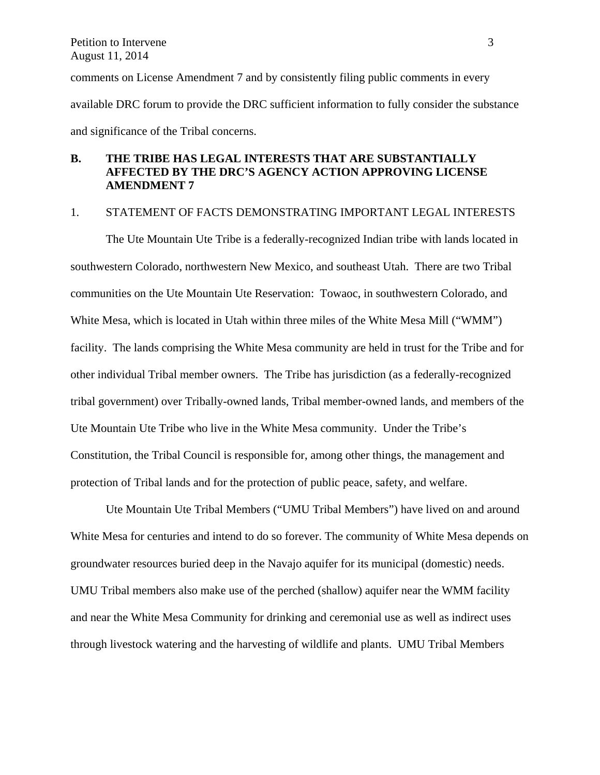comments on License Amendment 7 and by consistently filing public comments in every available DRC forum to provide the DRC sufficient information to fully consider the substance and significance of the Tribal concerns.

# **B. THE TRIBE HAS LEGAL INTERESTS THAT ARE SUBSTANTIALLY AFFECTED BY THE DRC'S AGENCY ACTION APPROVING LICENSE AMENDMENT 7**

### 1. STATEMENT OF FACTS DEMONSTRATING IMPORTANT LEGAL INTERESTS

The Ute Mountain Ute Tribe is a federally-recognized Indian tribe with lands located in southwestern Colorado, northwestern New Mexico, and southeast Utah. There are two Tribal communities on the Ute Mountain Ute Reservation: Towaoc, in southwestern Colorado, and White Mesa, which is located in Utah within three miles of the White Mesa Mill ("WMM") facility. The lands comprising the White Mesa community are held in trust for the Tribe and for other individual Tribal member owners. The Tribe has jurisdiction (as a federally-recognized tribal government) over Tribally-owned lands, Tribal member-owned lands, and members of the Ute Mountain Ute Tribe who live in the White Mesa community. Under the Tribe's Constitution, the Tribal Council is responsible for, among other things, the management and protection of Tribal lands and for the protection of public peace, safety, and welfare.

 Ute Mountain Ute Tribal Members ("UMU Tribal Members") have lived on and around White Mesa for centuries and intend to do so forever. The community of White Mesa depends on groundwater resources buried deep in the Navajo aquifer for its municipal (domestic) needs. UMU Tribal members also make use of the perched (shallow) aquifer near the WMM facility and near the White Mesa Community for drinking and ceremonial use as well as indirect uses through livestock watering and the harvesting of wildlife and plants. UMU Tribal Members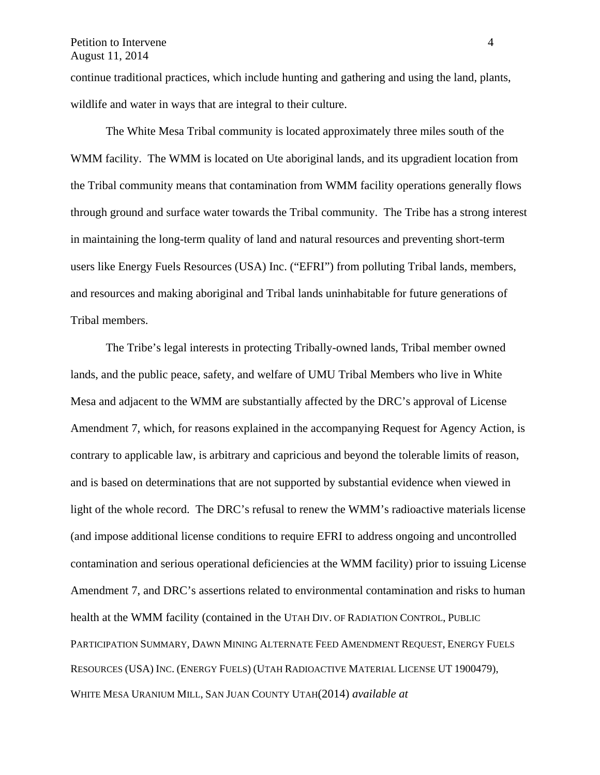#### Petition to Intervene 4 August 11, 2014

continue traditional practices, which include hunting and gathering and using the land, plants, wildlife and water in ways that are integral to their culture.

 The White Mesa Tribal community is located approximately three miles south of the WMM facility. The WMM is located on Ute aboriginal lands, and its upgradient location from the Tribal community means that contamination from WMM facility operations generally flows through ground and surface water towards the Tribal community. The Tribe has a strong interest in maintaining the long-term quality of land and natural resources and preventing short-term users like Energy Fuels Resources (USA) Inc. ("EFRI") from polluting Tribal lands, members, and resources and making aboriginal and Tribal lands uninhabitable for future generations of Tribal members.

The Tribe's legal interests in protecting Tribally-owned lands, Tribal member owned lands, and the public peace, safety, and welfare of UMU Tribal Members who live in White Mesa and adjacent to the WMM are substantially affected by the DRC's approval of License Amendment 7, which, for reasons explained in the accompanying Request for Agency Action, is contrary to applicable law, is arbitrary and capricious and beyond the tolerable limits of reason, and is based on determinations that are not supported by substantial evidence when viewed in light of the whole record. The DRC's refusal to renew the WMM's radioactive materials license (and impose additional license conditions to require EFRI to address ongoing and uncontrolled contamination and serious operational deficiencies at the WMM facility) prior to issuing License Amendment 7, and DRC's assertions related to environmental contamination and risks to human health at the WMM facility (contained in the UTAH DIV. OF RADIATION CONTROL, PUBLIC PARTICIPATION SUMMARY, DAWN MINING ALTERNATE FEED AMENDMENT REQUEST, ENERGY FUELS RESOURCES (USA) INC. (ENERGY FUELS) (UTAH RADIOACTIVE MATERIAL LICENSE UT 1900479), WHITE MESA URANIUM MILL, SAN JUAN COUNTY UTAH(2014) *available at*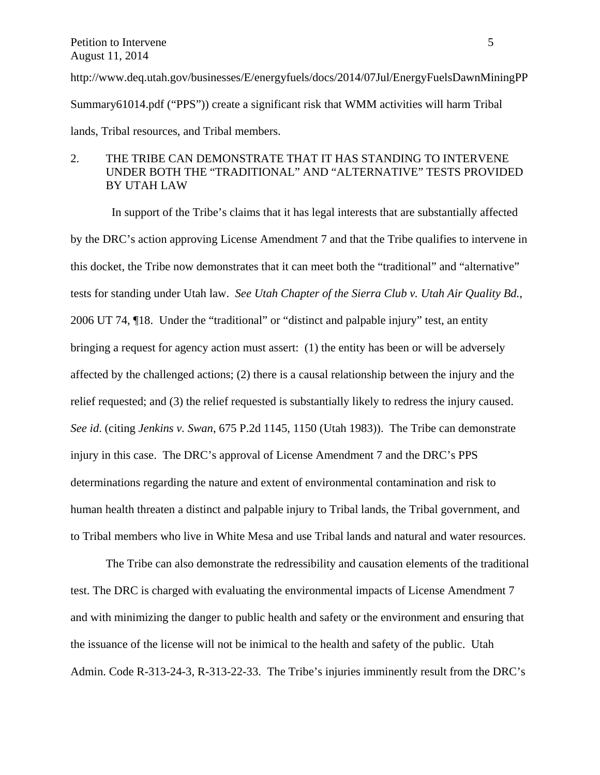http://www.deq.utah.gov/businesses/E/energyfuels/docs/2014/07Jul/EnergyFuelsDawnMiningPP Summary61014.pdf ("PPS")) create a significant risk that WMM activities will harm Tribal lands, Tribal resources, and Tribal members.

## 2. THE TRIBE CAN DEMONSTRATE THAT IT HAS STANDING TO INTERVENE UNDER BOTH THE "TRADITIONAL" AND "ALTERNATIVE" TESTS PROVIDED BY UTAH LAW

 In support of the Tribe's claims that it has legal interests that are substantially affected by the DRC's action approving License Amendment 7 and that the Tribe qualifies to intervene in this docket, the Tribe now demonstrates that it can meet both the "traditional" and "alternative" tests for standing under Utah law. *See Utah Chapter of the Sierra Club v. Utah Air Quality Bd.*, 2006 UT 74, ¶18. Under the "traditional" or "distinct and palpable injury" test, an entity bringing a request for agency action must assert: (1) the entity has been or will be adversely affected by the challenged actions; (2) there is a causal relationship between the injury and the relief requested; and (3) the relief requested is substantially likely to redress the injury caused. *See id*. (citing *Jenkins v. Swan*, 675 P.2d 1145, 1150 (Utah 1983)). The Tribe can demonstrate injury in this case. The DRC's approval of License Amendment 7 and the DRC's PPS determinations regarding the nature and extent of environmental contamination and risk to human health threaten a distinct and palpable injury to Tribal lands, the Tribal government, and to Tribal members who live in White Mesa and use Tribal lands and natural and water resources.

 The Tribe can also demonstrate the redressibility and causation elements of the traditional test. The DRC is charged with evaluating the environmental impacts of License Amendment 7 and with minimizing the danger to public health and safety or the environment and ensuring that the issuance of the license will not be inimical to the health and safety of the public. Utah Admin. Code R-313-24-3, R-313-22-33. The Tribe's injuries imminently result from the DRC's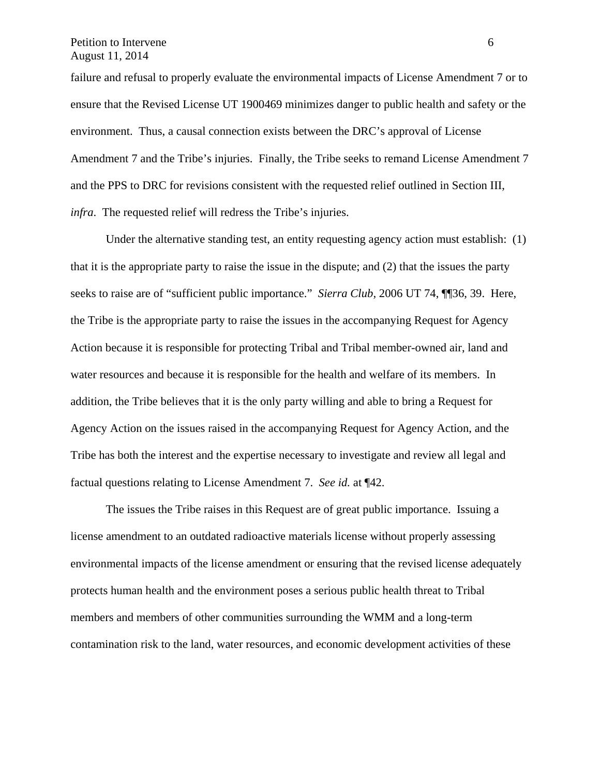Petition to Intervene 6 August 11, 2014

failure and refusal to properly evaluate the environmental impacts of License Amendment 7 or to ensure that the Revised License UT 1900469 minimizes danger to public health and safety or the environment. Thus, a causal connection exists between the DRC's approval of License Amendment 7 and the Tribe's injuries. Finally, the Tribe seeks to remand License Amendment 7 and the PPS to DRC for revisions consistent with the requested relief outlined in Section III, *infra*. The requested relief will redress the Tribe's injuries.

Under the alternative standing test, an entity requesting agency action must establish: (1) that it is the appropriate party to raise the issue in the dispute; and (2) that the issues the party seeks to raise are of "sufficient public importance." *Sierra Club,* 2006 UT 74, ¶¶36, 39. Here, the Tribe is the appropriate party to raise the issues in the accompanying Request for Agency Action because it is responsible for protecting Tribal and Tribal member-owned air, land and water resources and because it is responsible for the health and welfare of its members. In addition, the Tribe believes that it is the only party willing and able to bring a Request for Agency Action on the issues raised in the accompanying Request for Agency Action, and the Tribe has both the interest and the expertise necessary to investigate and review all legal and factual questions relating to License Amendment 7. *See id.* at ¶42.

The issues the Tribe raises in this Request are of great public importance. Issuing a license amendment to an outdated radioactive materials license without properly assessing environmental impacts of the license amendment or ensuring that the revised license adequately protects human health and the environment poses a serious public health threat to Tribal members and members of other communities surrounding the WMM and a long-term contamination risk to the land, water resources, and economic development activities of these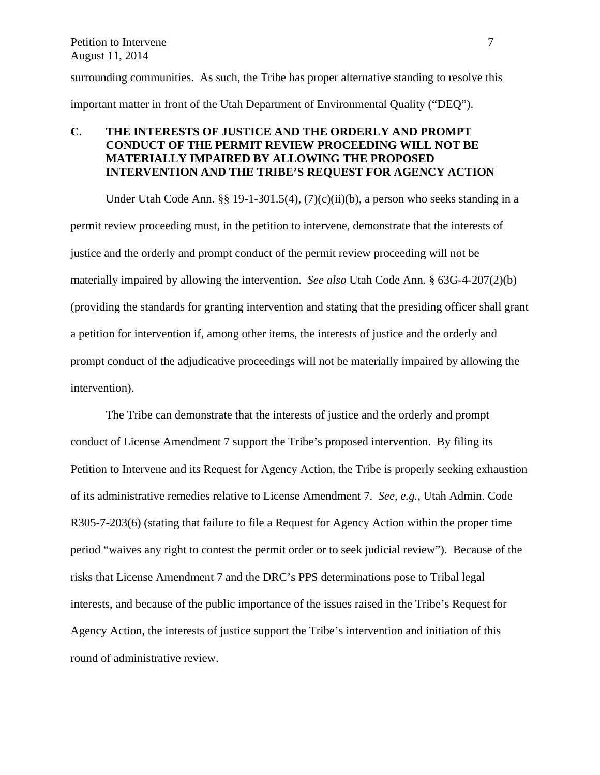surrounding communities. As such, the Tribe has proper alternative standing to resolve this important matter in front of the Utah Department of Environmental Quality ("DEQ").

# **C. THE INTERESTS OF JUSTICE AND THE ORDERLY AND PROMPT CONDUCT OF THE PERMIT REVIEW PROCEEDING WILL NOT BE MATERIALLY IMPAIRED BY ALLOWING THE PROPOSED INTERVENTION AND THE TRIBE'S REQUEST FOR AGENCY ACTION**

Under Utah Code Ann. §§ 19-1-301.5(4),  $(7)(c)(ii)(b)$ , a person who seeks standing in a permit review proceeding must, in the petition to intervene, demonstrate that the interests of justice and the orderly and prompt conduct of the permit review proceeding will not be materially impaired by allowing the intervention. *See also* Utah Code Ann. § 63G-4-207(2)(b) (providing the standards for granting intervention and stating that the presiding officer shall grant a petition for intervention if, among other items, the interests of justice and the orderly and prompt conduct of the adjudicative proceedings will not be materially impaired by allowing the intervention).

The Tribe can demonstrate that the interests of justice and the orderly and prompt conduct of License Amendment 7 support the Tribe's proposed intervention. By filing its Petition to Intervene and its Request for Agency Action, the Tribe is properly seeking exhaustion of its administrative remedies relative to License Amendment 7. *See, e.g.*, Utah Admin. Code R305-7-203(6) (stating that failure to file a Request for Agency Action within the proper time period "waives any right to contest the permit order or to seek judicial review"). Because of the risks that License Amendment 7 and the DRC's PPS determinations pose to Tribal legal interests, and because of the public importance of the issues raised in the Tribe's Request for Agency Action, the interests of justice support the Tribe's intervention and initiation of this round of administrative review.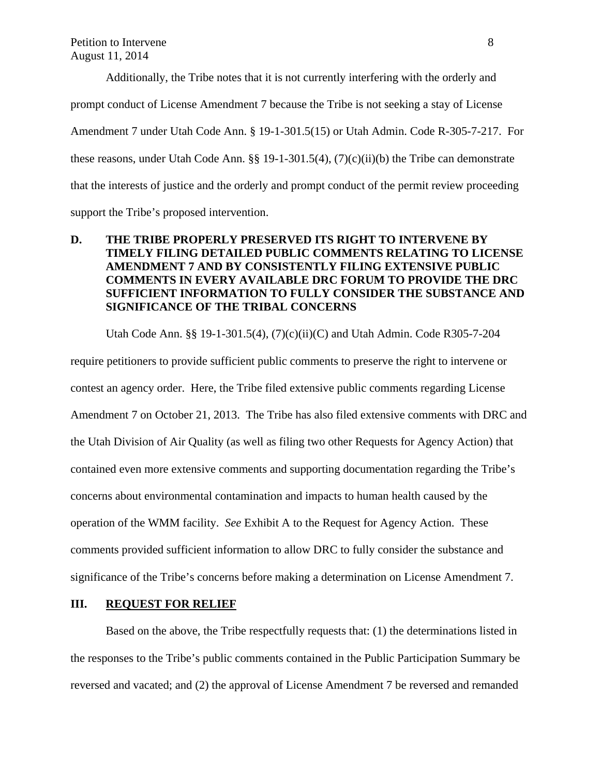Additionally, the Tribe notes that it is not currently interfering with the orderly and prompt conduct of License Amendment 7 because the Tribe is not seeking a stay of License Amendment 7 under Utah Code Ann. § 19-1-301.5(15) or Utah Admin. Code R-305-7-217. For these reasons, under Utah Code Ann. §§ 19-1-301.5(4), (7)(c)(ii)(b) the Tribe can demonstrate that the interests of justice and the orderly and prompt conduct of the permit review proceeding support the Tribe's proposed intervention.

# **D. THE TRIBE PROPERLY PRESERVED ITS RIGHT TO INTERVENE BY TIMELY FILING DETAILED PUBLIC COMMENTS RELATING TO LICENSE AMENDMENT 7 AND BY CONSISTENTLY FILING EXTENSIVE PUBLIC COMMENTS IN EVERY AVAILABLE DRC FORUM TO PROVIDE THE DRC SUFFICIENT INFORMATION TO FULLY CONSIDER THE SUBSTANCE AND SIGNIFICANCE OF THE TRIBAL CONCERNS**

 Utah Code Ann. §§ 19-1-301.5(4), (7)(c)(ii)(C) and Utah Admin. Code R305-7-204 require petitioners to provide sufficient public comments to preserve the right to intervene or contest an agency order. Here, the Tribe filed extensive public comments regarding License Amendment 7 on October 21, 2013. The Tribe has also filed extensive comments with DRC and the Utah Division of Air Quality (as well as filing two other Requests for Agency Action) that contained even more extensive comments and supporting documentation regarding the Tribe's concerns about environmental contamination and impacts to human health caused by the operation of the WMM facility. *See* Exhibit A to the Request for Agency Action. These comments provided sufficient information to allow DRC to fully consider the substance and significance of the Tribe's concerns before making a determination on License Amendment 7.

## **III. REQUEST FOR RELIEF**

Based on the above, the Tribe respectfully requests that: (1) the determinations listed in the responses to the Tribe's public comments contained in the Public Participation Summary be reversed and vacated; and (2) the approval of License Amendment 7 be reversed and remanded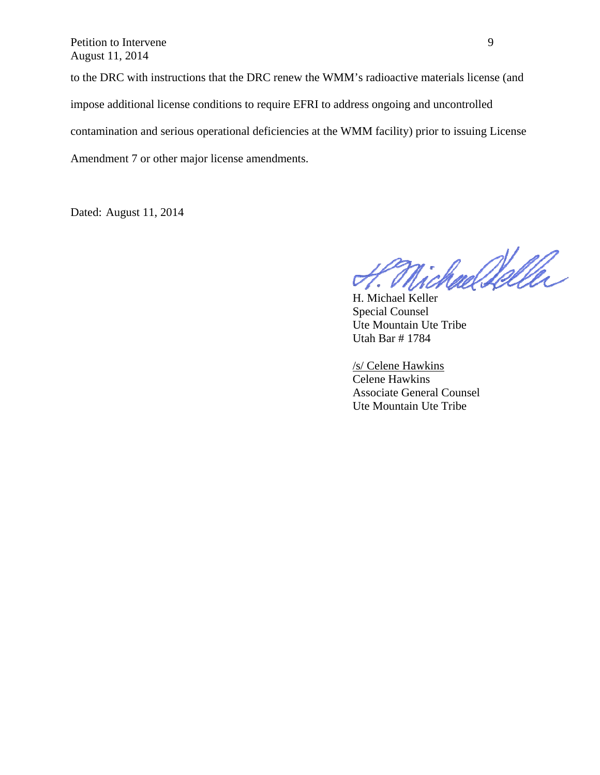Petition to Intervene 9 August 11, 2014

to the DRC with instructions that the DRC renew the WMM's radioactive materials license (and impose additional license conditions to require EFRI to address ongoing and uncontrolled contamination and serious operational deficiencies at the WMM facility) prior to issuing License Amendment 7 or other major license amendments.

Dated: August 11, 2014

H. Michael Walle

Special Counsel Ute Mountain Ute Tribe Utah Bar # 1784

/s/ Celene Hawkins Celene Hawkins Associate General Counsel Ute Mountain Ute Tribe